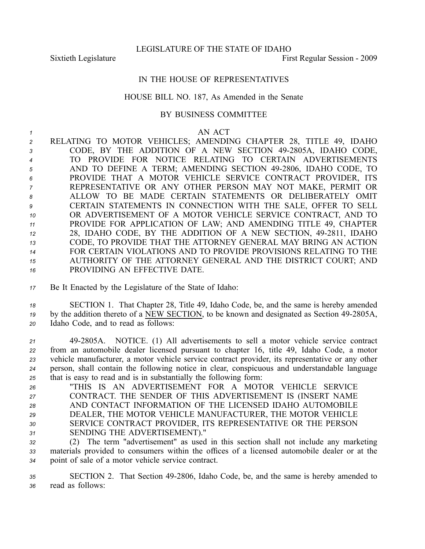Sixtieth Legislature **First** Regular Session - 2009

## IN THE HOUSE OF REPRESENTATIVES

## HOUSE BILL NO. 187, As Amended in the Senate

## BY BUSINESS COMMITTEE

## *1* AN ACT

 RELATING TO MOTOR VEHICLES; AMENDING CHAPTER 28, TITLE 49, IDAHO CODE, BY THE ADDITION OF A NEW SECTION 492805A, IDAHO CODE, TO PROVIDE FOR NOTICE RELATING TO CERTAIN ADVERTISEMENTS AND TO DEFINE A TERM; AMENDING SECTION 492806, IDAHO CODE, TO PROVIDE THAT A MOTOR VEHICLE SERVICE CONTRACT PROVIDER, ITS REPRESENTATIVE OR ANY OTHER PERSON MAY NOT MAKE, PERMIT OR ALLOW TO BE MADE CERTAIN STATEMENTS OR DELIBERATELY OMIT CERTAIN STATEMENTS IN CONNECTION WITH THE SALE, OFFER TO SELL OR ADVERTISEMENT OF A MOTOR VEHICLE SERVICE CONTRACT, AND TO PROVIDE FOR APPLICATION OF LAW; AND AMENDING TITLE 49, CHAPTER <sup>12</sup> 28, IDAHO CODE, BY THE ADDITION OF A NEW SECTION, 49-2811, IDAHO CODE, TO PROVIDE THAT THE ATTORNEY GENERAL MAY BRING AN ACTION FOR CERTAIN VIOLATIONS AND TO PROVIDE PROVISIONS RELATING TO THE AUTHORITY OF THE ATTORNEY GENERAL AND THE DISTRICT COURT; AND PROVIDING AN EFFECTIVE DATE.

*<sup>17</sup>* Be It Enacted by the Legislature of the State of Idaho:

*<sup>18</sup>* SECTION 1. That Chapter 28, Title 49, Idaho Code, be, and the same is hereby amended <sup>19</sup> by the addition thereto of a NEW SECTION, to be known and designated as Section 49-2805A, *<sup>20</sup>* Idaho Code, and to read as follows:

 492805A. NOTICE. (1) All advertisements to sell <sup>a</sup> motor vehicle service contract from an automobile dealer licensed pursuan<sup>t</sup> to chapter 16, title 49, Idaho Code, <sup>a</sup> motor vehicle manufacturer, <sup>a</sup> motor vehicle service contract provider, its representative or any other person, shall contain the following notice in clear, conspicuous and understandable language that is easy to read and is in substantially the following form:

 "THIS IS AN ADVERTISEMENT FOR A MOTOR VEHICLE SERVICE CONTRACT. THE SENDER OF THIS ADVERTISEMENT IS (INSERT NAME AND CONTACT INFORMATION OF THE LICENSED IDAHO AUTOMOBILE DEALER, THE MOTOR VEHICLE MANUFACTURER, THE MOTOR VEHICLE SERVICE CONTRACT PROVIDER, ITS REPRESENTATIVE OR THE PERSON SENDING THE ADVERTISEMENT)."

*<sup>32</sup>* (2) The term "advertisement" as used in this section shall not include any marketing *<sup>33</sup>* materials provided to consumers within the offices of <sup>a</sup> licensed automobile dealer or at the *<sup>34</sup>* point of sale of <sup>a</sup> motor vehicle service contract.

*<sup>35</sup>* SECTION 2. That Section 492806, Idaho Code, be, and the same is hereby amended to *<sup>36</sup>* read as follows: